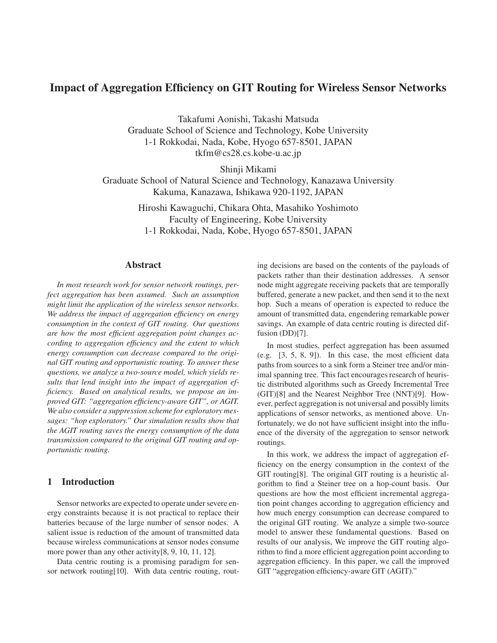# Impact of Aggregation Efficiency on GIT Routing for Wireless Sensor Networks

Takafumi Aonishi, Takashi Matsuda Graduate School of Science and Technology, Kobe University 1-1 Rokkodai, Nada, Kobe, Hyogo 657-8501, JAPAN tkfm@cs28.cs.kobe-u.ac.jp

Shinji Mikami

Graduate School of Natural Science and Technology, Kanazawa University Kakuma, Kanazawa, Ishikawa 920-1192, JAPAN

> Hiroshi Kawaguchi, Chikara Ohta, Masahiko Yoshimoto Faculty of Engineering, Kobe University 1-1 Rokkodai, Nada, Kobe, Hyogo 657-8501, JAPAN

# Abstract

*In most research work for sensor network routings, perfect aggregation has been assumed. Such an assumption might limit the application of the wireless sensor networks. We address the impact of aggregation efficiency on energy consumption in the context of GIT routing. Our questions are how the most efficient aggregation point changes according to aggregation efficiency and the extent to which energy consumption can decrease compared to the original GIT routing and opportunistic routing. To answer these questions, we analyze a two-source model, which yields results that lend insight into the impact of aggregation efficiency. Based on analytical results, we propose an improved GIT: "aggregation efficiency-aware GIT", or AGIT. We also consider a suppression scheme for exploratory messages: "hop exploratory." Our simulation results show that the AGIT routing saves the energy consumption of the data transmission compared to the original GIT routing and opportunistic routing.*

# 1 Introduction

Sensor networks are expected to operate under severe energy constraints because it is not practical to replace their batteries because of the large number of sensor nodes. A salient issue is reduction of the amount of transmitted data because wireless communications at sensor nodes consume more power than any other activity [8, 9, 10, 11, 12].

Data centric routing is a promising paradigm for sensor network routing[10]. With data centric routing, routing decisions are based on the contents of the payloads of packets rather than their destination addresses. A sensor node might aggregate receiving packets that are temporally buffered, generate a new packet, and then send it to the next hop. Such a means of operation is expected to reduce the amount of transmitted data, engendering remarkable power savings. An example of data centric routing is directed diffusion (DD)[7].

In most studies, perfect aggregation has been assumed (e.g. [3, 5, 8, 9]). In this case, the most efficient data paths from sources to a sink form a Steiner tree and/or minimal spanning tree. This fact encourages research of heuristic distributed algorithms such as Greedy Incremental Tree (GIT)[8] and the Nearest Neighbor Tree (NNT)[9]. However, perfect aggregation is not universal and possibly limits applications of sensor networks, as mentioned above. Unfortunately, we do not have sufficient insight into the influence of the diversity of the aggregation to sensor network routings.

In this work, we address the impact of aggregation efficiency on the energy consumption in the context of the GIT routing[8]. The original GIT routing is a heuristic algorithm to find a Steiner tree on a hop-count basis. Our questions are how the most efficient incremental aggregation point changes according to aggregation efficiency and how much energy consumption can decrease compared to the original GIT routing. We analyze a simple two-source model to answer these fundamental questions. Based on results of our analysis, We improve the GIT routing algorithm to find a more efficient aggregation point according to aggregation efficiency. In this paper, we call the improved GIT "aggregation efficiency-aware GIT (AGIT)."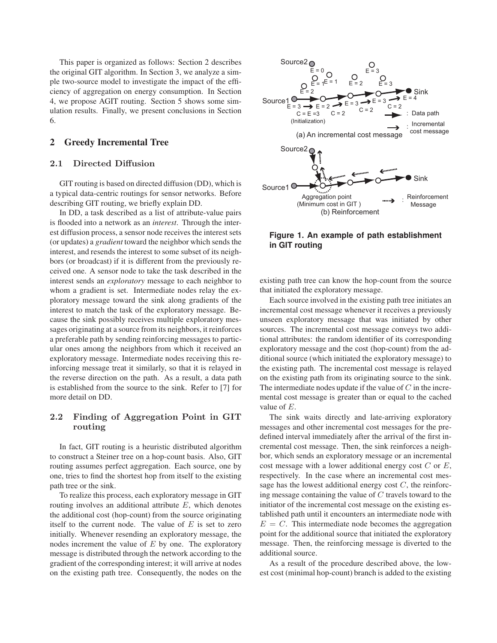This paper is organized as follows: Section 2 describes the original GIT algorithm. In Section 3, we analyze a simple two-source model to investigate the impact of the efficiency of aggregation on energy consumption. In Section 4, we propose AGIT routing. Section 5 shows some simulation results. Finally, we present conclusions in Section 6.

# 2 Greedy Incremental Tree

## **2.1 Directed Diffusion**

GIT routing is based on directed diffusion (DD), which is a typical data-centric routings for sensor networks. Before describing GIT routing, we briefly explain DD.

In DD, a task described as a list of attribute-value pairs is flooded into a network as an *interest*. Through the interest diffusion process, a sensor node receives the interest sets (or updates) a *gradient* toward the neighbor which sends the interest, and resends the interest to some subset of its neighbors (or broadcast) if it is different from the previously received one. A sensor node to take the task described in the interest sends an *exploratory* message to each neighbor to whom a gradient is set. Intermediate nodes relay the exploratory message toward the sink along gradients of the interest to match the task of the exploratory message. Because the sink possibly receives multiple exploratory messages originating at a source from its neighbors, it reinforces a preferable path by sending reinforcing messages to particular ones among the neighbors from which it received an exploratory message. Intermediate nodes receiving this reinforcing message treat it similarly, so that it is relayed in the reverse direction on the path. As a result, a data path is established from the source to the sink. Refer to [7] for more detail on DD.

# **2.2 Finding of Aggregation Point in GIT routing**

In fact, GIT routing is a heuristic distributed algorithm to construct a Steiner tree on a hop-count basis. Also, GIT routing assumes perfect aggregation. Each source, one by one, tries to find the shortest hop from itself to the existing path tree or the sink.

To realize this process, each exploratory message in GIT routing involves an additional attribute  $E$ , which denotes the additional cost (hop-count) from the source originating itself to the current node. The value of  $E$  is set to zero initially. Whenever resending an exploratory message, the nodes increment the value of  $E$  by one. The exploratory message is distributed through the network according to the gradient of the corresponding interest; it will arrive at nodes on the existing path tree. Consequently, the nodes on the



**Figure 1. An example of path establishment in GIT routing**

existing path tree can know the hop-count from the source that initiated the exploratory message.

Each source involved in the existing path tree initiates an incremental cost message whenever it receives a previously unseen exploratory message that was initiated by other sources. The incremental cost message conveys two additional attributes: the random identifier of its corresponding exploratory message and the cost (hop-count) from the additional source (which initiated the exploratory message) to the existing path. The incremental cost message is relayed on the existing path from its originating source to the sink. The intermediate nodes update if the value of  $C$  in the incremental cost message is greater than or equal to the cached value of E.

The sink waits directly and late-arriving exploratory messages and other incremental cost messages for the predefined interval immediately after the arrival of the first incremental cost message. Then, the sink reinforces a neighbor, which sends an exploratory message or an incremental cost message with a lower additional energy cost  $C$  or  $E$ , respectively. In the case where an incremental cost message has the lowest additional energy cost  $C$ , the reinforcing message containing the value of  $C$  travels toward to the initiator of the incremental cost message on the existing established path until it encounters an intermediate node with  $E = C$ . This intermediate node becomes the aggregation point for the additional source that initiated the exploratory message. Then, the reinforcing message is diverted to the additional source.

As a result of the procedure described above, the lowest cost (minimal hop-count) branch is added to the existing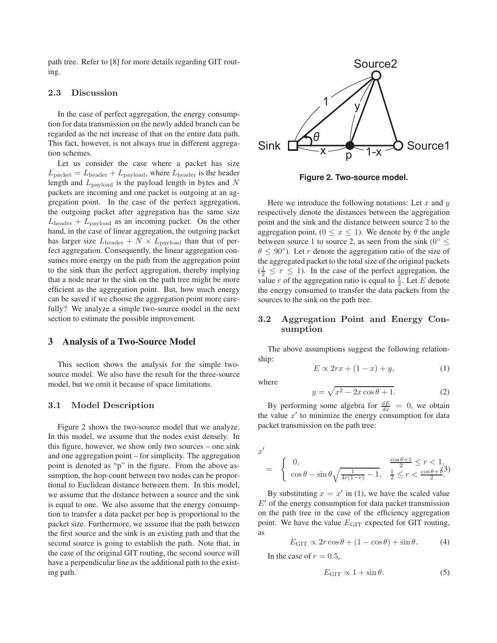path tree. Refer to [8] for more details regarding GIT routing.

### **2.3 Discussion**

In the case of perfect aggregation, the energy consumption for data transmission on the newly added branch can be regarded as the net increase of that on the entire data path. This fact, however, is not always true in different aggregation schemes.

Let us consider the case where a packet has size  $L_{\text{packet}} = L_{\text{header}} + L_{\text{payload}}$ , where  $L_{\text{header}}$  is the header length and  $L_{\text{payload}}$  is the payload length in bytes and N packets are incoming and one packet is outgoing at an aggregation point. In the case of the perfect aggregation, the outgoing packet after aggregation has the same size  $L_{\text{header}} + L_{\text{payload}}$  as an incoming packet. On the other hand, in the case of linear aggregation, the outgoing packet has larger size  $L_{\text{header}} + N \times L_{\text{payload}}$  than that of perfect aggregation. Consequently, the linear aggregation consumes more energy on the path from the aggregation point to the sink than the perfect aggregation, thereby implying that a node near to the sink on the path tree might be more efficient as the aggregation point. But, how much energy can be saved if we choose the aggregation point more carefully? We analyze a simple two-source model in the next section to estimate the possible improvement.

#### 3 Analysis of a Two-Source Model

This section shows the analysis for the simple twosource model. We also have the result for the three-source model, but we omit it because of space limitations.

#### **3.1 Model Description**

Figure 2 shows the two-source model that we analyze. In this model, we assume that the nodes exist densely. In this figure, however, we show only two sources – one sink and one aggregation point – for simplicity. The aggregation point is denoted as "p" in the figure. From the above assumption, the hop-count between two nodes can be proportional to Euclidean distance between them. In this model, we assume that the distance between a source and the sink is equal to one. We also assume that the energy consumption to transfer a data packet per hop is proportional to the packet size. Furthermore, we assume that the path between the first source and the sink is an existing path and that the second source is going to establish the path. Note that, in the case of the original GIT routing, the second source will have a perpendicular line as the additional path to the existing path.



**Figure 2. Two-source model.**

Here we introduce the following notations: Let x and  $y$ respectively denote the distances between the aggregation point and the sink and the distance between source 2 to the aggregation point,  $(0 \le x \le 1)$ . We denote by  $\theta$  the angle between source 1 to source 2, as seen from the sink ( $0^{\circ} \leq$  $\theta \leq 90^{\circ}$ ). Let r denote the aggregation ratio of the size of the aggregated packet to the total size of the original packets  $(\frac{1}{2} \leq r \leq 1)$ . In the case of the perfect aggregation, the value r of the aggregation ratio is equal to  $\frac{1}{2}$ . Let E denote the energy consumed to transfer the data packets from the sources to the sink on the path tree.

### **3.2 Aggregation Point and Energy Consumption**

The above assumptions suggest the following relationship:

$$
E \propto 2rx + (1-x) + y,\tag{1}
$$

where

$$
y = \sqrt{x^2 - 2x\cos\theta + 1}.\tag{2}
$$

By performing some algebra for  $\frac{dE}{dx} = 0$ , we obtain the value  $x'$  to minimize the energy consumption for data packet transmission on the path tree:

$$
x' = \begin{cases} 0, & \frac{\cos \theta + 1}{2} \le r < 1, \\ \cos \theta - \sin \theta \sqrt{\frac{1}{4r(1-r)} - 1}, & \frac{1}{2} \le r < \frac{\cos \theta + 1}{2} \end{cases}
$$

By substituting  $x = x'$  in (1), we have the scaled value  $E'$  of the energy consumption for data packet transmission on the path tree in the case of the efficiency aggregation point. We have the value  $E_{\text{GIT}}$  expected for GIT routing, as

$$
E_{\text{GIT}} \propto 2r\cos\theta + (1 - \cos\theta) + \sin\theta. \tag{4}
$$

In the case of  $r = 0.5$ ,

$$
E_{\text{GIT}} \propto 1 + \sin \theta. \tag{5}
$$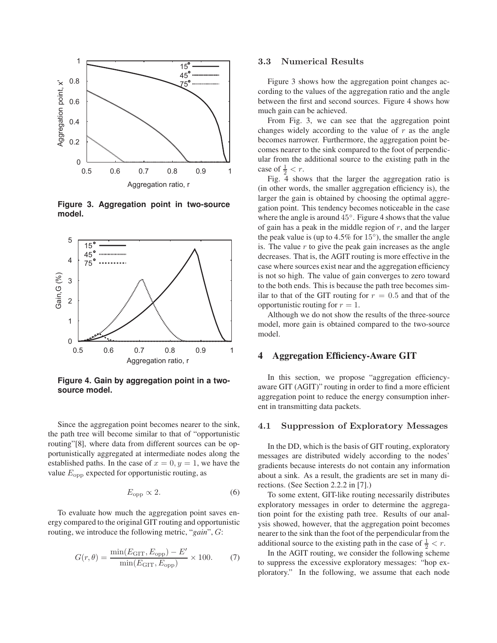

**Figure 3. Aggregation point in two-source model.**



**Figure 4. Gain by aggregation point in a twosource model.**

Since the aggregation point becomes nearer to the sink, the path tree will become similar to that of "opportunistic routing"[8], where data from different sources can be opportunistically aggregated at intermediate nodes along the established paths. In the case of  $x = 0, y = 1$ , we have the value  $E_{\text{opp}}$  expected for opportunistic routing, as

$$
E_{\rm opp} \propto 2. \tag{6}
$$

To evaluate how much the aggregation point saves energy compared to the original GIT routing and opportunistic routing, we introduce the following metric, "*gain*", G:

$$
G(r,\theta) = \frac{\min(E_{\text{GIT}}, E_{\text{opp}}) - E'}{\min(E_{\text{GIT}}, E_{\text{opp}})} \times 100. \tag{7}
$$

### **3.3 Numerical Results**

Figure 3 shows how the aggregation point changes according to the values of the aggregation ratio and the angle between the first and second sources. Figure 4 shows how much gain can be achieved.

From Fig. 3, we can see that the aggregation point changes widely according to the value of  $r$  as the angle becomes narrower. Furthermore, the aggregation point becomes nearer to the sink compared to the foot of perpendicular from the additional source to the existing path in the case of  $\frac{1}{2} < r$ .

Fig. 4 shows that the larger the aggregation ratio is (in other words, the smaller aggregation efficiency is), the larger the gain is obtained by choosing the optimal aggregation point. This tendency becomes noticeable in the case where the angle is around 45◦. Figure 4 shows that the value of gain has a peak in the middle region of  $r$ , and the larger the peak value is (up to  $4.5\%$  for  $15°$ ), the smaller the angle is. The value  $r$  to give the peak gain increases as the angle decreases. That is, the AGIT routing is more effective in the case where sources exist near and the aggregation efficiency is not so high. The value of gain converges to zero toward to the both ends. This is because the path tree becomes similar to that of the GIT routing for  $r = 0.5$  and that of the opportunistic routing for  $r = 1$ .

Although we do not show the results of the three-source model, more gain is obtained compared to the two-source model.

### 4 Aggregation Efficiency-Aware GIT

In this section, we propose "aggregation efficiencyaware GIT (AGIT)" routing in order to find a more efficient aggregation point to reduce the energy consumption inherent in transmitting data packets.

#### **4.1 Suppression of Exploratory Messages**

In the DD, which is the basis of GIT routing, exploratory messages are distributed widely according to the nodes' gradients because interests do not contain any information about a sink. As a result, the gradients are set in many directions. (See Section 2.2.2 in [7].)

To some extent, GIT-like routing necessarily distributes exploratory messages in order to determine the aggregation point for the existing path tree. Results of our analysis showed, however, that the aggregation point becomes nearer to the sink than the foot of the perpendicular from the additional source to the existing path in the case of  $\frac{1}{2} < r$ .

In the AGIT routing, we consider the following scheme to suppress the excessive exploratory messages: "hop exploratory." In the following, we assume that each node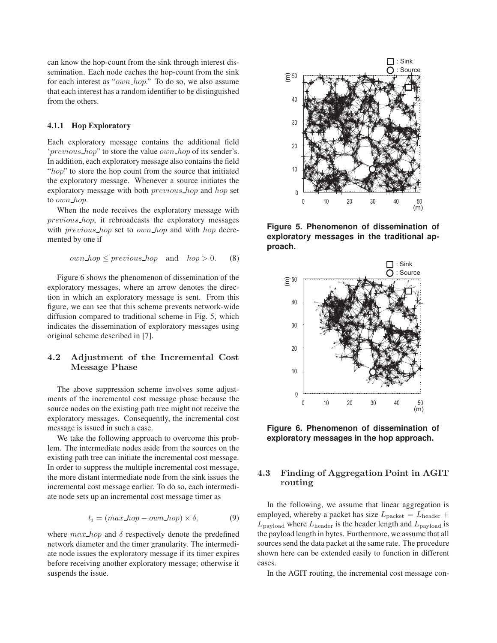can know the hop-count from the sink through interest dissemination. Each node caches the hop-count from the sink for each interest as "own hop." To do so, we also assume that each interest has a random identifier to be distinguished from the others.

#### 4.1.1 Hop Exploratory

Each exploratory message contains the additional field 'previous hop" to store the value own hop of its sender's. In addition, each exploratory message also contains the field "hop" to store the hop count from the source that initiated the exploratory message. Whenever a source initiates the exploratory message with both *previous* hop and hop set to *own\_hop*.

When the node receives the exploratory message with previous hop, it rebroadcasts the exploratory messages with *previous\_hop* set to *own\_hop* and with *hop* decremented by one if

$$
own\_hop \le previous\_hop \quad \text{and} \quad hop > 0. \tag{8}
$$

Figure 6 shows the phenomenon of dissemination of the exploratory messages, where an arrow denotes the direction in which an exploratory message is sent. From this figure, we can see that this scheme prevents network-wide diffusion compared to traditional scheme in Fig. 5, which indicates the dissemination of exploratory messages using original scheme described in [7].

# **4.2 Adjustment of the Incremental Cost Message Phase**

The above suppression scheme involves some adjustments of the incremental cost message phase because the source nodes on the existing path tree might not receive the exploratory messages. Consequently, the incremental cost message is issued in such a case.

We take the following approach to overcome this problem. The intermediate nodes aside from the sources on the existing path tree can initiate the incremental cost message. In order to suppress the multiple incremental cost message, the more distant intermediate node from the sink issues the incremental cost message earlier. To do so, each intermediate node sets up an incremental cost message timer as

$$
t_i = (max\_hop - own\_hop) \times \delta,
$$
 (9)

where  $max\_hop$  and  $\delta$  respectively denote the predefined network diameter and the timer granularity. The intermediate node issues the exploratory message if its timer expires before receiving another exploratory message; otherwise it suspends the issue.



**Figure 5. Phenomenon of dissemination of exploratory messages in the traditional approach.**



**Figure 6. Phenomenon of dissemination of exploratory messages in the hop approach.**

# **4.3 Finding of Aggregation Point in AGIT routing**

In the following, we assume that linear aggregation is employed, whereby a packet has size  $L_{\text{packet}} = L_{\text{header}} +$  $L_{\text{pavid}}$  where  $L_{\text{header}}$  is the header length and  $L_{\text{pavid}}$  is the payload length in bytes. Furthermore, we assume that all sources send the data packet at the same rate. The procedure shown here can be extended easily to function in different cases.

In the AGIT routing, the incremental cost message con-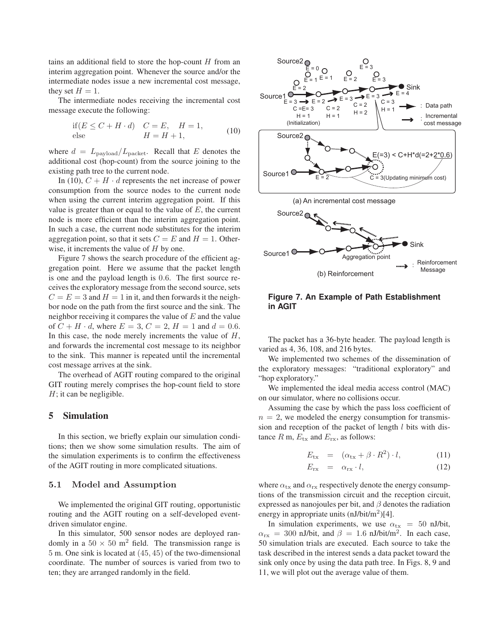tains an additional field to store the hop-count  $H$  from an interim aggregation point. Whenever the source and/or the intermediate nodes issue a new incremental cost message, they set  $H = 1$ .

The intermediate nodes receiving the incremental cost message execute the following:

$$
\begin{array}{ll}\n\text{if}(E \le C + H \cdot d) & C = E, \quad H = 1, \\
\text{else} & H = H + 1,\n\end{array} \tag{10}
$$

where  $d = L_{\text{payload}}/L_{\text{packet}}$ . Recall that E denotes the additional cost (hop-count) from the source joining to the existing path tree to the current node.

In (10),  $C + H \cdot d$  represents the net increase of power consumption from the source nodes to the current node when using the current interim aggregation point. If this value is greater than or equal to the value of  $E$ , the current node is more efficient than the interim aggregation point. In such a case, the current node substitutes for the interim aggregation point, so that it sets  $C = E$  and  $H = 1$ . Otherwise, it increments the value of  $H$  by one.

Figure 7 shows the search procedure of the efficient aggregation point. Here we assume that the packet length is one and the payload length is 0.6. The first source receives the exploratory message from the second source, sets  $C = E = 3$  and  $H = 1$  in it, and then forwards it the neighbor node on the path from the first source and the sink. The neighbor receiving it compares the value of  $E$  and the value of  $C + H \cdot d$ , where  $E = 3, C = 2, H = 1$  and  $d = 0.6$ . In this case, the node merely increments the value of  $H$ , and forwards the incremental cost message to its neighbor to the sink. This manner is repeated until the incremental cost message arrives at the sink.

The overhead of AGIT routing compared to the original GIT routing merely comprises the hop-count field to store  $H$ ; it can be negligible.

#### 5 Simulation

In this section, we briefly explain our simulation conditions; then we show some simulation results. The aim of the simulation experiments is to confirm the effectiveness of the AGIT routing in more complicated situations.

#### **5.1 Model and Assumption**

We implemented the original GIT routing, opportunistic routing and the AGIT routing on a self-developed eventdriven simulator engine.

In this simulator, 500 sensor nodes are deployed randomly in a  $50 \times 50$  m<sup>2</sup> field. The transmission range is 5 m. One sink is located at (45, 45) of the two-dimensional coordinate. The number of sources is varied from two to ten; they are arranged randomly in the field.



### **Figure 7. An Example of Path Establishment in AGIT**

The packet has a 36-byte header. The payload length is varied as 4, 36, 108, and 216 bytes.

We implemented two schemes of the dissemination of the exploratory messages: "traditional exploratory" and "hop exploratory."

We implemented the ideal media access control (MAC) on our simulator, where no collisions occur.

Assuming the case by which the pass loss coefficient of  $n = 2$ , we modeled the energy consumption for transmission and reception of the packet of length  $l$  bits with distance  $R$  m,  $E_{\text{tx}}$  and  $E_{\text{rx}}$ , as follows:

$$
E_{\text{tx}} = (\alpha_{\text{tx}} + \beta \cdot R^2) \cdot l, \qquad (11)
$$

$$
E_{\rm rx} = \alpha_{\rm rx} \cdot l,\tag{12}
$$

where  $\alpha_{\text{tx}}$  and  $\alpha_{\text{rx}}$  respectively denote the energy consumptions of the transmission circuit and the reception circuit, expressed as nanojoules per bit, and  $\beta$  denotes the radiation energy in appropriate units  $(nJ/bit/m<sup>2</sup>)[4]$ .

In simulation experiments, we use  $\alpha_{\text{tx}} = 50$  nJ/bit,  $\alpha_{\text{rx}}$  = 300 nJ/bit, and  $\beta$  = 1.6 nJ/bit/m<sup>2</sup>. In each case, 50 simulation trials are executed. Each source to take the task described in the interest sends a data packet toward the sink only once by using the data path tree. In Figs. 8, 9 and 11, we will plot out the average value of them.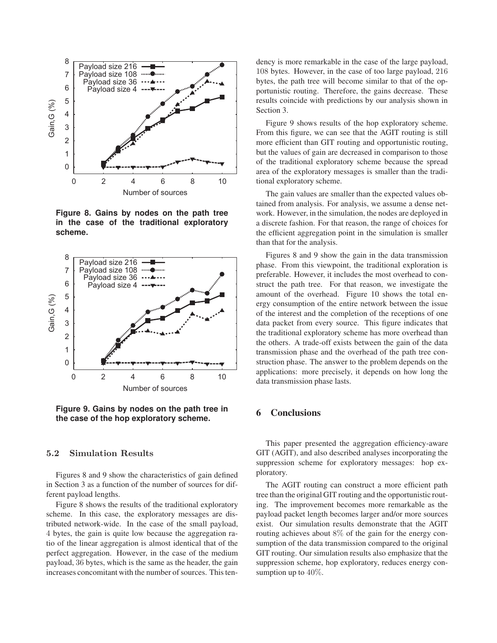

**Figure 8. Gains by nodes on the path tree in the case of the traditional exploratory scheme.**



**Figure 9. Gains by nodes on the path tree in the case of the hop exploratory scheme.**

# **5.2 Simulation Results**

Figures 8 and 9 show the characteristics of gain defined in Section 3 as a function of the number of sources for different payload lengths.

Figure 8 shows the results of the traditional exploratory scheme. In this case, the exploratory messages are distributed network-wide. In the case of the small payload, 4 bytes, the gain is quite low because the aggregation ratio of the linear aggregation is almost identical that of the perfect aggregation. However, in the case of the medium payload, 36 bytes, which is the same as the header, the gain increases concomitant with the number of sources. This ten-

dency is more remarkable in the case of the large payload, 108 bytes. However, in the case of too large payload, 216 bytes, the path tree will become similar to that of the opportunistic routing. Therefore, the gains decrease. These results coincide with predictions by our analysis shown in Section 3.

Figure 9 shows results of the hop exploratory scheme. From this figure, we can see that the AGIT routing is still more efficient than GIT routing and opportunistic routing, but the values of gain are decreased in comparison to those of the traditional exploratory scheme because the spread area of the exploratory messages is smaller than the traditional exploratory scheme.

The gain values are smaller than the expected values obtained from analysis. For analysis, we assume a dense network. However, in the simulation, the nodes are deployed in a discrete fashion. For that reason, the range of choices for the efficient aggregation point in the simulation is smaller than that for the analysis.

Figures 8 and 9 show the gain in the data transmission phase. From this viewpoint, the traditional exploration is preferable. However, it includes the most overhead to construct the path tree. For that reason, we investigate the amount of the overhead. Figure 10 shows the total energy consumption of the entire network between the issue of the interest and the completion of the receptions of one data packet from every source. This figure indicates that the traditional exploratory scheme has more overhead than the others. A trade-off exists between the gain of the data transmission phase and the overhead of the path tree construction phase. The answer to the problem depends on the applications: more precisely, it depends on how long the data transmission phase lasts.

# 6 Conclusions

This paper presented the aggregation efficiency-aware GIT (AGIT), and also described analyses incorporating the suppression scheme for exploratory messages: hop exploratory.

The AGIT routing can construct a more efficient path tree than the original GIT routing and the opportunistic routing. The improvement becomes more remarkable as the payload packet length becomes larger and/or more sources exist. Our simulation results demonstrate that the AGIT routing achieves about 8% of the gain for the energy consumption of the data transmission compared to the original GIT routing. Our simulation results also emphasize that the suppression scheme, hop exploratory, reduces energy consumption up to  $40\%$ .